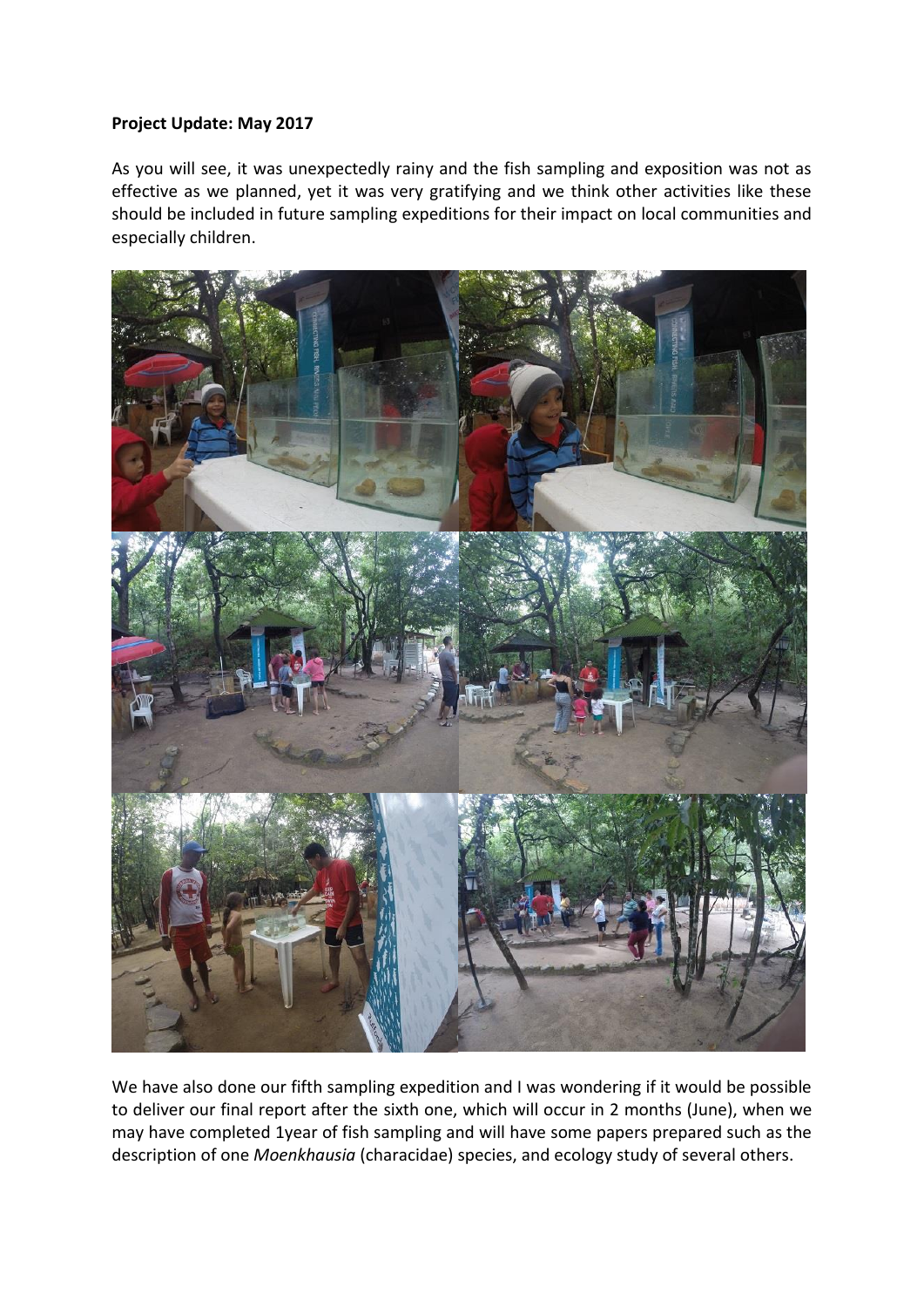## **Project Update: May 2017**

As you will see, it was unexpectedly rainy and the fish sampling and exposition was not as effective as we planned, yet it was very gratifying and we think other activities like these should be included in future sampling expeditions for their impact on local communities and especially children.



We have also done our fifth sampling expedition and I was wondering if it would be possible to deliver our final report after the sixth one, which will occur in 2 months (June), when we may have completed 1year of fish sampling and will have some papers prepared such as the description of one *Moenkhausia* (characidae) species, and ecology study of several others.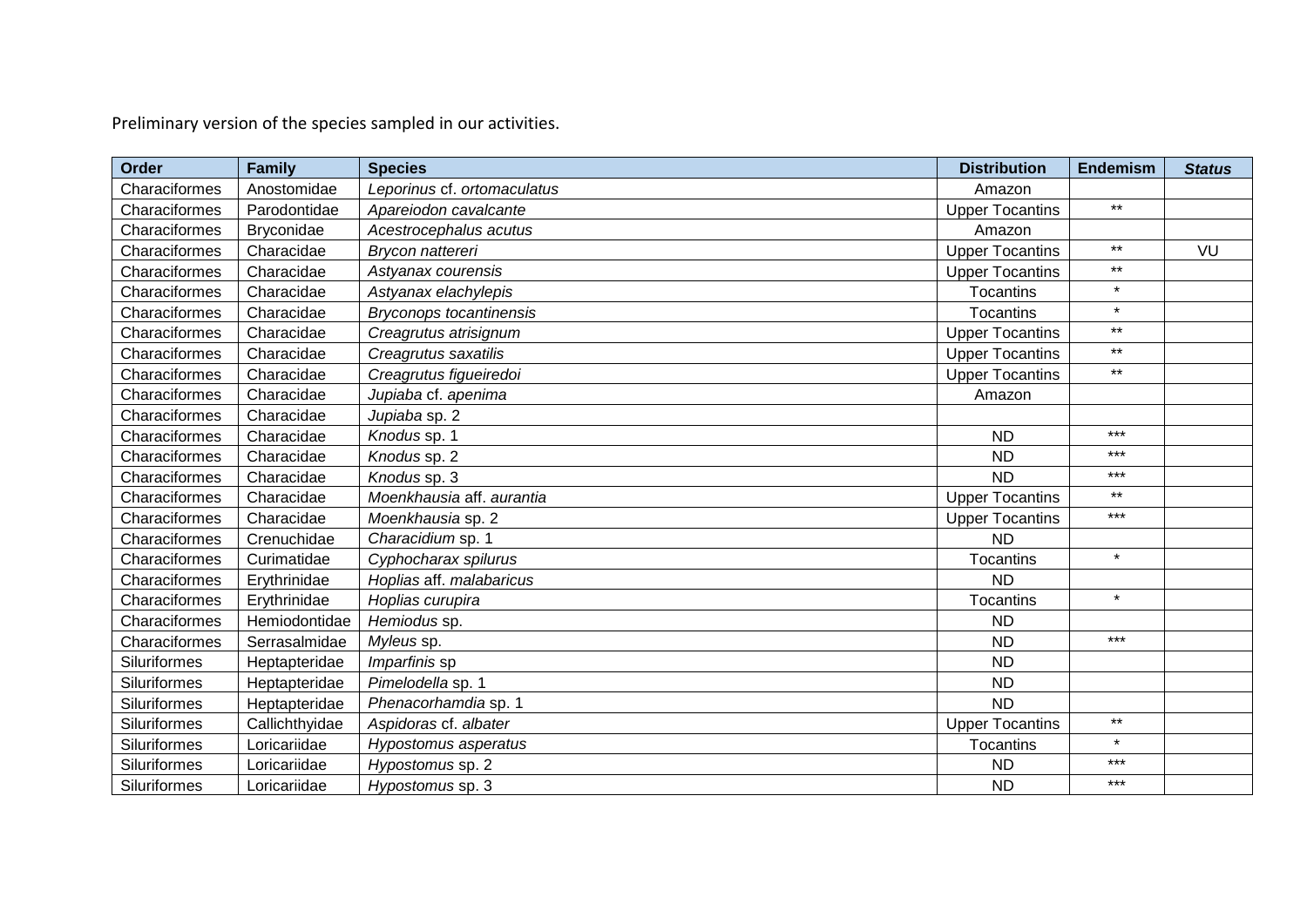Preliminary version of the species sampled in our activities.

| <b>Order</b>  | <b>Family</b>  | <b>Species</b>                 | <b>Distribution</b>    | <b>Endemism</b> | <b>Status</b> |
|---------------|----------------|--------------------------------|------------------------|-----------------|---------------|
| Characiformes | Anostomidae    | Leporinus cf. ortomaculatus    | Amazon                 |                 |               |
| Characiformes | Parodontidae   | Apareiodon cavalcante          | <b>Upper Tocantins</b> | $***$           |               |
| Characiformes | Bryconidae     | Acestrocephalus acutus         | Amazon                 |                 |               |
| Characiformes | Characidae     | Brycon nattereri               | <b>Upper Tocantins</b> | $***$           | VU            |
| Characiformes | Characidae     | Astyanax courensis             | <b>Upper Tocantins</b> | $***$           |               |
| Characiformes | Characidae     | Astyanax elachylepis           | Tocantins              | $\star$         |               |
| Characiformes | Characidae     | <b>Bryconops tocantinensis</b> | Tocantins              | $\star$         |               |
| Characiformes | Characidae     | Creagrutus atrisignum          | <b>Upper Tocantins</b> | $\star\star$    |               |
| Characiformes | Characidae     | Creagrutus saxatilis           | <b>Upper Tocantins</b> | $***$           |               |
| Characiformes | Characidae     | Creagrutus figueiredoi         | <b>Upper Tocantins</b> | $***$           |               |
| Characiformes | Characidae     | Jupiaba cf. apenima            | Amazon                 |                 |               |
| Characiformes | Characidae     | Jupiaba sp. 2                  |                        |                 |               |
| Characiformes | Characidae     | Knodus sp. 1                   | <b>ND</b>              | $***$           |               |
| Characiformes | Characidae     | Knodus sp. 2                   | <b>ND</b>              | $***$           |               |
| Characiformes | Characidae     | Knodus sp. 3                   | <b>ND</b>              | $***$           |               |
| Characiformes | Characidae     | Moenkhausia aff. aurantia      | <b>Upper Tocantins</b> | $***$           |               |
| Characiformes | Characidae     | Moenkhausia sp. 2              | <b>Upper Tocantins</b> | $***$           |               |
| Characiformes | Crenuchidae    | Characidium sp. 1              | <b>ND</b>              |                 |               |
| Characiformes | Curimatidae    | Cyphocharax spilurus           | Tocantins              | $\star$         |               |
| Characiformes | Erythrinidae   | Hoplias aff. malabaricus       | <b>ND</b>              |                 |               |
| Characiformes | Erythrinidae   | Hoplias curupira               | <b>Tocantins</b>       | $\star$         |               |
| Characiformes | Hemiodontidae  | Hemiodus sp.                   | <b>ND</b>              |                 |               |
| Characiformes | Serrasalmidae  | Myleus sp.                     | <b>ND</b>              | $***$           |               |
| Siluriformes  | Heptapteridae  | Imparfinis sp                  | <b>ND</b>              |                 |               |
| Siluriformes  | Heptapteridae  | Pimelodella sp. 1              | <b>ND</b>              |                 |               |
| Siluriformes  | Heptapteridae  | Phenacorhamdia sp. 1           | <b>ND</b>              |                 |               |
| Siluriformes  | Callichthyidae | Aspidoras cf. albater          | <b>Upper Tocantins</b> | $***$           |               |
| Siluriformes  | Loricariidae   | Hypostomus asperatus           | <b>Tocantins</b>       | $\star$         |               |
| Siluriformes  | Loricariidae   | Hypostomus sp. 2               | <b>ND</b>              | $***$           |               |
| Siluriformes  | Loricariidae   | Hypostomus sp. 3               | <b>ND</b>              | $***$           |               |